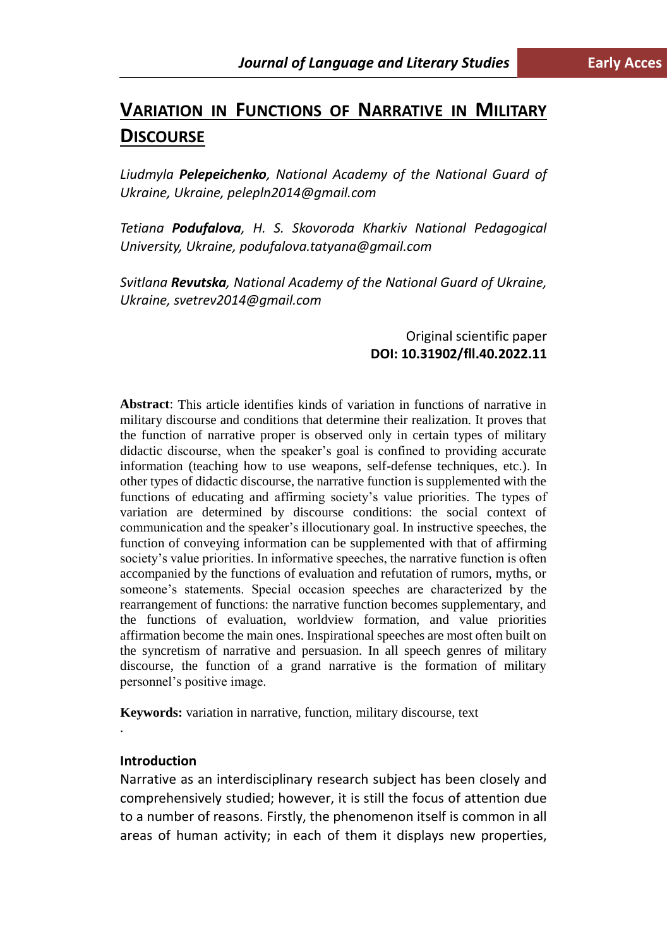# **VARIATION IN FUNCTIONS OF NARRATIVE IN MILITARY DISCOURSE**

*Liudmyla Pelepeichenko, National Academy of the National Guard of Ukraine, Ukraine, pelepln2014@gmail.com*

*Tetiana Podufalova, H. S. Skovoroda Kharkiv National Pedagogical University, Ukraine, podufalova.tatyana@gmail.com*

*Svitlana Revutska, National Academy of the National Guard of Ukraine, Ukraine, svetrev2014@gmail.com*

# Original scientific paper **DOI: 10.31902/fll.40.2022.11**

**Abstract**: This article identifies kinds of variation in functions of narrative in military discourse and conditions that determine their realization. It proves that the function of narrative proper is observed only in certain types of military didactic discourse, when the speaker's goal is confined to providing accurate information (teaching how to use weapons, self-defense techniques, etc.). In other types of didactic discourse, the narrative function is supplemented with the functions of educating and affirming society's value priorities. The types of variation are determined by discourse conditions: the social context of communication and the speaker's illocutionary goal. In instructive speeches, the function of conveying information can be supplemented with that of affirming society's value priorities. In informative speeches, the narrative function is often accompanied by the functions of evaluation and refutation of rumors, myths, or someone's statements. Special occasion speeches are characterized by the rearrangement of functions: the narrative function becomes supplementary, and the functions of evaluation, worldview formation, and value priorities affirmation become the main ones. Inspirational speeches are most often built on the syncretism of narrative and persuasion. In all speech genres of military discourse, the function of a grand narrative is the formation of military personnel's positive image.

**Keywords:** variation in narrative, function, military discourse, text

### **Introduction**

.

Narrative as an interdisciplinary research subject has been closely and comprehensively studied; however, it is still the focus of attention due to a number of reasons. Firstly, the phenomenon itself is common in all areas of human activity; in each of them it displays new properties,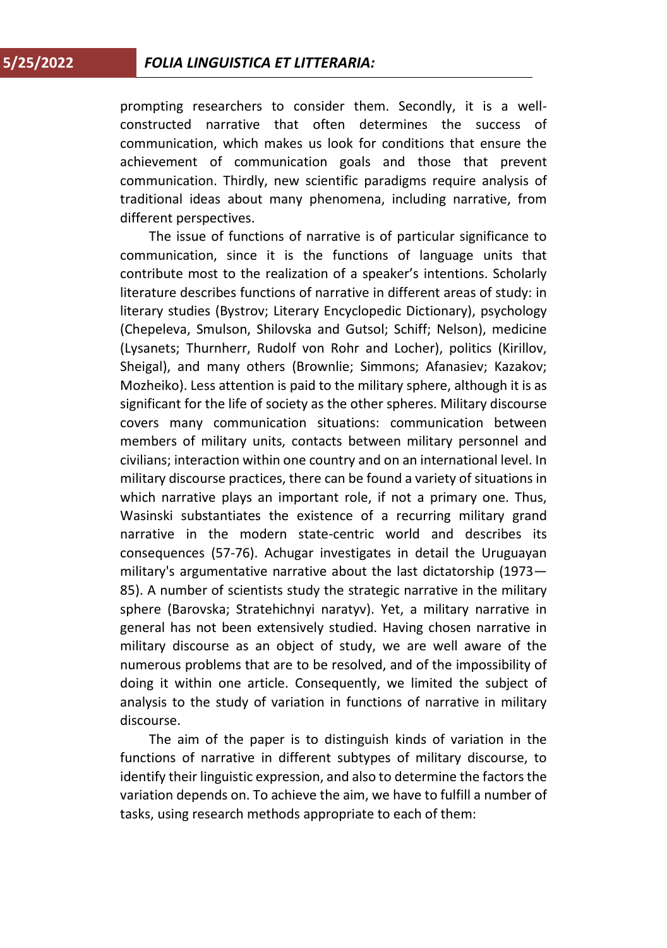prompting researchers to consider them. Secondly, it is a wellconstructed narrative that often determines the success of communication, which makes us look for conditions that ensure the achievement of communication goals and those that prevent communication. Thirdly, new scientific paradigms require analysis of traditional ideas about many phenomena, including narrative, from different perspectives.

The issue of functions of narrative is of particular significance to communication, since it is the functions of language units that contribute most to the realization of a speaker's intentions. Scholarly literature describes functions of narrative in different areas of study: in literary studies (Bystrov; Literary Encyclopedic Dictionary), psychology (Chepeleva, Smulson, Shilovska and Gutsol; Schiff; Nelson), medicine (Lysanets; Thurnherr, Rudolf von Rohr and Locher), politics (Kirillov, Sheigal), and many others (Brownlie; Simmons; Afanasiev; Kazakov; Mozheiko). Less attention is paid to the military sphere, although it is as significant for the life of society as the other spheres. Military discourse covers many communication situations: communication between members of military units, contacts between military personnel and civilians; interaction within one country and on an international level. In military discourse practices, there can be found a variety of situations in which narrative plays an important role, if not a primary one. Thus, Wasinski substantiates the existence of a recurring military grand narrative in the modern state-centric world and describes its consequences (57-76). Achugar investigates in detail the Uruguayan military's argumentative narrative about the last dictatorship (1973— 85). A number of scientists study the strategic narrative in the military sphere (Barovska; Stratehichnyi naratyv). Yet, a military narrative in general has not been extensively studied. Having chosen narrative in military discourse as an object of study, we are well aware of the numerous problems that are to be resolved, and of the impossibility of doing it within one article. Consequently, we limited the subject of analysis to the study of variation in functions of narrative in military discourse.

The aim of the paper is to distinguish kinds of variation in the functions of narrative in different subtypes of military discourse, to identify their linguistic expression, and also to determine the factors the variation depends on. To achieve the aim, we have to fulfill a number of tasks, using research methods appropriate to each of them: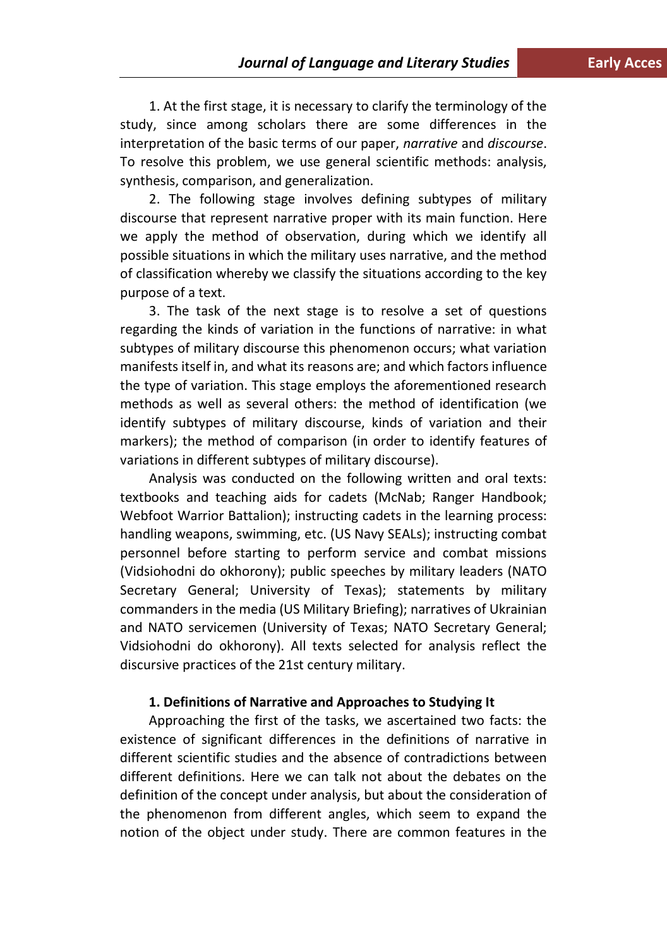1. At the first stage, it is necessary to clarify the terminology of the study, since among scholars there are some differences in the interpretation of the basic terms of our paper, *narrative* and *discourse*. To resolve this problem, we use general scientific methods: analysis, synthesis, comparison, and generalization.

2. The following stage involves defining subtypes of military discourse that represent narrative proper with its main function. Here we apply the method of observation, during which we identify all possible situations in which the military uses narrative, and the method of classification whereby we classify the situations according to the key purpose of a text.

3. The task of the next stage is to resolve a set of questions regarding the kinds of variation in the functions of narrative: in what subtypes of military discourse this phenomenon occurs; what variation manifests itself in, and what its reasons are; and which factors influence the type of variation. This stage employs the aforementioned research methods as well as several others: the method of identification (we identify subtypes of military discourse, kinds of variation and their markers); the method of comparison (in order to identify features of variations in different subtypes of military discourse).

Analysis was conducted on the following written and oral texts: textbooks and teaching aids for cadets (McNab; Ranger Handbook; Webfoot Warrior Battalion); instructing cadets in the learning process: handling weapons, swimming, etc. (US Navy SEALs); instructing combat personnel before starting to perform service and combat missions (Vidsiohodni do okhorony); public speeches by military leaders (NATO Secretary General; University of Texas); statements by military commanders in the media (US Military Briefing); narratives of Ukrainian and NATO servicemen (University of Texas; NATO Secretary General; Vidsiohodni do okhorony). All texts selected for analysis reflect the discursive practices of the 21st century military.

#### **1. Definitions of Narrative and Approaches to Studying It**

Approaching the first of the tasks, we ascertained two facts: the existence of significant differences in the definitions of narrative in different scientific studies and the absence of contradictions between different definitions. Here we can talk not about the debates on the definition of the concept under analysis, but about the consideration of the phenomenon from different angles, which seem to expand the notion of the object under study. There are common features in the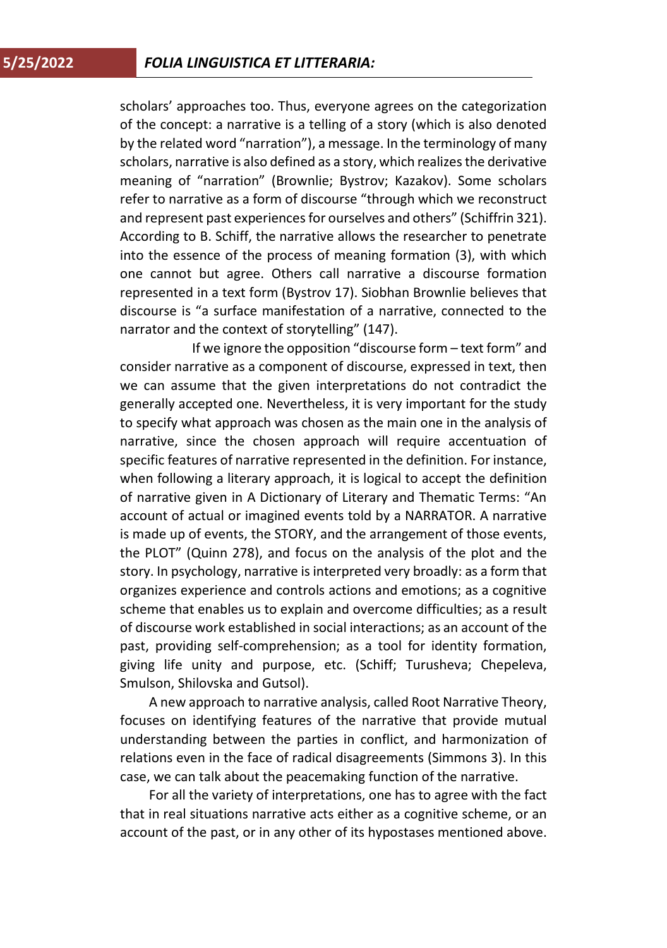scholars' approaches too. Thus, everyone agrees on the categorization of the concept: a narrative is a telling of a story (which is also denoted by the related word "narration"), a message. In the terminology of many scholars, narrative is also defined as a story, which realizes the derivative meaning of "narration" (Brownlie; Bystrov; Kazakov). Some scholars refer to narrative as a form of discourse "through which we reconstruct and represent past experiences for ourselves and others" (Schiffrin 321). According to B. Schiff, the narrative allows the researcher to penetrate into the essence of the process of meaning formation (3), with which one cannot but agree. Others call narrative a discourse formation represented in a text form (Bystrov 17). Siobhan Brownlie believes that discourse is "a surface manifestation of a narrative, connected to the narrator and the context of storytelling" (147).

 If we ignore the opposition "discourse form – text form" and consider narrative as a component of discourse, expressed in text, then we can assume that the given interpretations do not contradict the generally accepted one. Nevertheless, it is very important for the study to specify what approach was chosen as the main one in the analysis of narrative, since the chosen approach will require accentuation of specific features of narrative represented in the definition. For instance, when following a literary approach, it is logical to accept the definition of narrative given in A Dictionary of Literary and Thematic Terms: "An account of actual or imagined events told by a NARRATOR. A narrative is made up of events, the STORY, and the arrangement of those events, the PLOT" (Quinn 278), and focus on the analysis of the plot and the story. In psychology, narrative is interpreted very broadly: as a form that organizes experience and controls actions and emotions; as a cognitive scheme that enables us to explain and overcome difficulties; as a result of discourse work established in social interactions; as an account of the past, providing self-comprehension; as a tool for identity formation, giving life unity and purpose, etc. (Schiff; Turusheva; Chepeleva, Smulson, Shilovska and Gutsol).

A new approach to narrative analysis, called Root Narrative Theory, focuses on identifying features of the narrative that provide mutual understanding between the parties in conflict, and harmonization of relations even in the face of radical disagreements (Simmons 3). In this case, we can talk about the peacemaking function of the narrative.

For all the variety of interpretations, one has to agree with the fact that in real situations narrative acts either as a cognitive scheme, or an account of the past, or in any other of its hypostases mentioned above.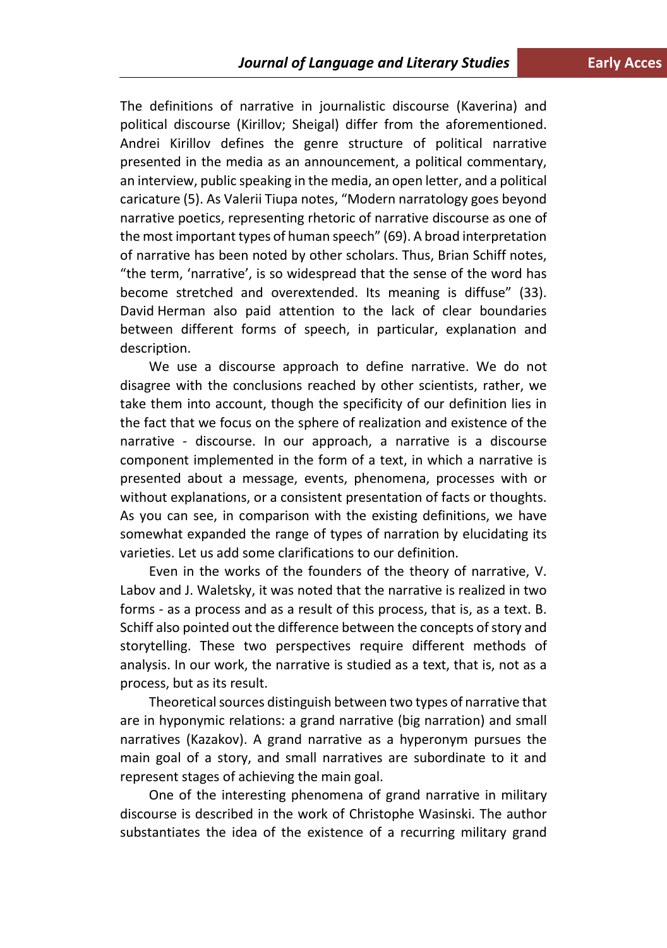The definitions of narrative in journalistic discourse (Kaverina) and political discourse (Kirillov; Sheigal) differ from the aforementioned. Andrei Kirillov defines the genre structure of political narrative presented in the media as an announcement, a political commentary, an interview, public speaking in the media, an open letter, and a political caricature (5). As Valerii Tiupa notes, "Modern narratology goes beyond narrative poetics, representing rhetoric of narrative discourse as one of the most important types of human speech" (69). A broad interpretation of narrative has been noted by other scholars. Thus, Brian Schiff notes, "the term, 'narrative', is so widespread that the sense of the word has become stretched and overextended. Its meaning is diffuse" (33). David Herman also paid attention to the lack of clear boundaries between different forms of speech, in particular, explanation and description.

We use a discourse approach to define narrative. We do not disagree with the conclusions reached by other scientists, rather, we take them into account, though the specificity of our definition lies in the fact that we focus on the sphere of realization and existence of the narrative - discourse. In our approach, a narrative is a discourse component implemented in the form of a text, in which a narrative is presented about a message, events, phenomena, processes with or without explanations, or a consistent presentation of facts or thoughts. As you can see, in comparison with the existing definitions, we have somewhat expanded the range of types of narration by elucidating its varieties. Let us add some clarifications to our definition.

Even in the works of the founders of the theory of narrative, V. Labov and J. Waletsky, it was noted that the narrative is realized in two forms - as a process and as a result of this process, that is, as a text. B. Schiff also pointed out the difference between the concepts of story and storytelling. These two perspectives require different methods of analysis. In our work, the narrative is studied as a text, that is, not as a process, but as its result.

Theoretical sources distinguish between two types of narrative that are in hyponymic relations: a grand narrative (big narration) and small narratives (Kazakov). A grand narrative as a hyperonym pursues the main goal of a story, and small narratives are subordinate to it and represent stages of achieving the main goal.

One of the interesting phenomena of grand narrative in military discourse is described in the work of Christophe Wasinski. The author substantiates the idea of the existence of a recurring military grand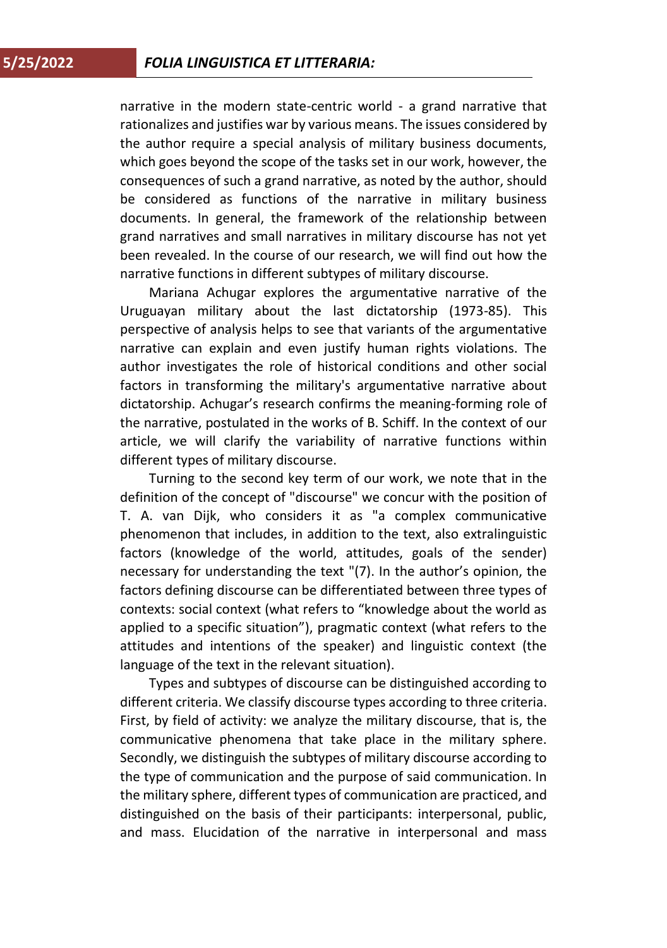narrative in the modern state-centric world - a grand narrative that rationalizes and justifies war by various means. The issues considered by the author require a special analysis of military business documents, which goes beyond the scope of the tasks set in our work, however, the consequences of such a grand narrative, as noted by the author, should be considered as functions of the narrative in military business documents. In general, the framework of the relationship between grand narratives and small narratives in military discourse has not yet been revealed. In the course of our research, we will find out how the narrative functions in different subtypes of military discourse.

Mariana Achugar explores the argumentative narrative of the Uruguayan military about the last dictatorship (1973-85). This perspective of analysis helps to see that variants of the argumentative narrative can explain and even justify human rights violations. The author investigates the role of historical conditions and other social factors in transforming the military's argumentative narrative about dictatorship. Achugar's research confirms the meaning-forming role of the narrative, postulated in the works of B. Schiff. In the context of our article, we will clarify the variability of narrative functions within different types of military discourse.

Turning to the second key term of our work, we note that in the definition of the concept of "discourse" we concur with the position of T. A. van Dijk, who considers it as "a complex communicative phenomenon that includes, in addition to the text, also extralinguistic factors (knowledge of the world, attitudes, goals of the sender) necessary for understanding the text "(7). In the author's opinion, the factors defining discourse can be differentiated between three types of contexts: social context (what refers to "knowledge about the world as applied to a specific situation"), pragmatic context (what refers to the attitudes and intentions of the speaker) and linguistic context (the language of the text in the relevant situation).

Types and subtypes of discourse can be distinguished according to different criteria. We classify discourse types according to three criteria. First, by field of activity: we analyze the military discourse, that is, the communicative phenomena that take place in the military sphere. Secondly, we distinguish the subtypes of military discourse according to the type of communication and the purpose of said communication. In the military sphere, different types of communication are practiced, and distinguished on the basis of their participants: interpersonal, public, and mass. Elucidation of the narrative in interpersonal and mass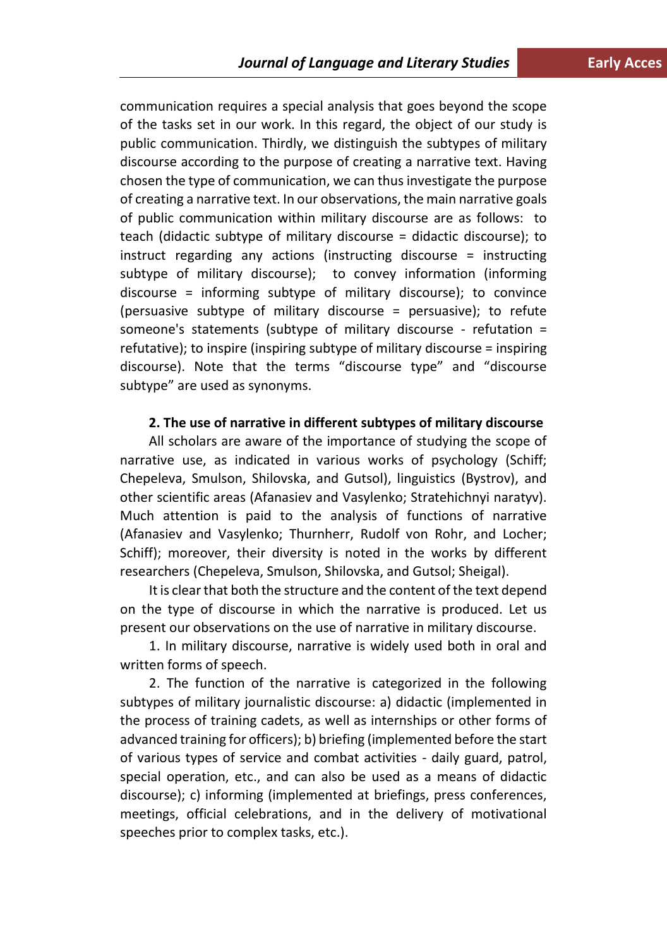communication requires a special analysis that goes beyond the scope of the tasks set in our work. In this regard, the object of our study is public communication. Thirdly, we distinguish the subtypes of military discourse according to the purpose of creating a narrative text. Having chosen the type of communication, we can thus investigate the purpose of creating a narrative text. In our observations, the main narrative goals of public communication within military discourse are as follows: to teach (didactic subtype of military discourse = didactic discourse); to instruct regarding any actions (instructing discourse = instructing subtype of military discourse); to convey information (informing discourse = informing subtype of military discourse); to convince (persuasive subtype of military discourse = persuasive); to refute someone's statements (subtype of military discourse - refutation = refutative); to inspire (inspiring subtype of military discourse = inspiring discourse). Note that the terms "discourse type" and "discourse subtype" are used as synonyms.

### **2. The use of narrative in different subtypes of military discourse**

All scholars are aware of the importance of studying the scope of narrative use, as indicated in various works of psychology (Schiff; Chepeleva, Smulson, Shilovska, and Gutsol), linguistics (Bystrov), and other scientific areas (Afanasiev and Vasylenko; Stratehichnyi naratyv). Much attention is paid to the analysis of functions of narrative (Afanasiev and Vasylenko; Thurnherr, Rudolf von Rohr, and Locher; Schiff); moreover, their diversity is noted in the works by different researchers (Chepeleva, Smulson, Shilovska, and Gutsol; Sheigal).

It is clear that both the structure and the content of the text depend on the type of discourse in which the narrative is produced. Let us present our observations on the use of narrative in military discourse.

1. In military discourse, narrative is widely used both in oral and written forms of speech.

2. The function of the narrative is categorized in the following subtypes of military journalistic discourse: a) didactic (implemented in the process of training cadets, as well as internships or other forms of advanced training for officers); b) briefing (implemented before the start of various types of service and combat activities - daily guard, patrol, special operation, etc., and can also be used as a means of didactic discourse); c) informing (implemented at briefings, press conferences, meetings, official celebrations, and in the delivery of motivational speeches prior to complex tasks, etc.).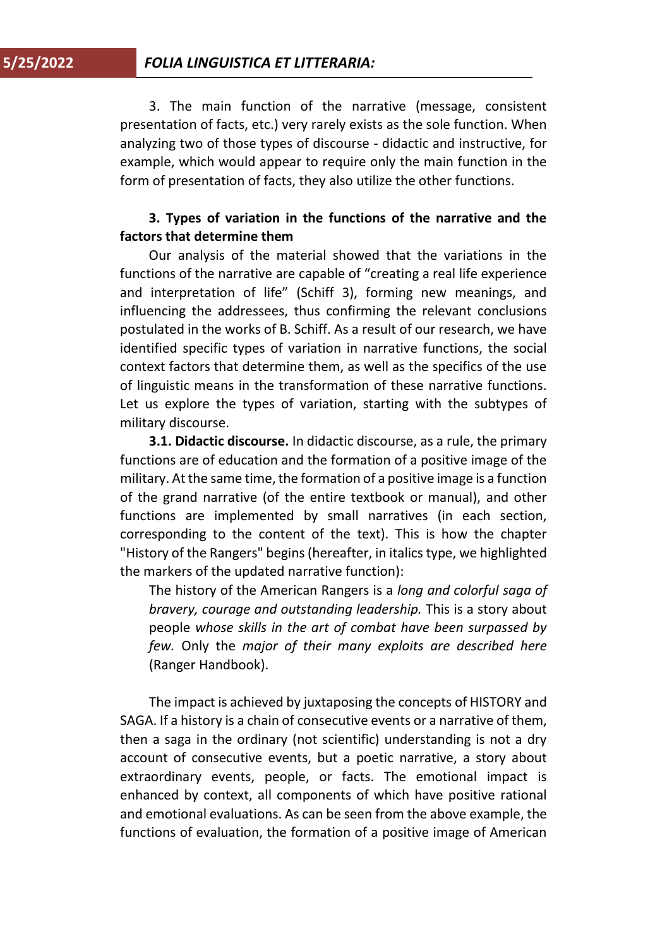3. The main function of the narrative (message, consistent presentation of facts, etc.) very rarely exists as the sole function. When analyzing two of those types of discourse - didactic and instructive, for example, which would appear to require only the main function in the form of presentation of facts, they also utilize the other functions.

# **3. Types of variation in the functions of the narrative and the factors that determine them**

Our analysis of the material showed that the variations in the functions of the narrative are capable of "creating a real life experience and interpretation of life" (Schiff 3), forming new meanings, and influencing the addressees, thus confirming the relevant conclusions postulated in the works of B. Schiff. As a result of our research, we have identified specific types of variation in narrative functions, the social context factors that determine them, as well as the specifics of the use of linguistic means in the transformation of these narrative functions. Let us explore the types of variation, starting with the subtypes of military discourse.

**3.1. Didactic discourse.** In didactic discourse, as a rule, the primary functions are of education and the formation of a positive image of the military. At the same time, the formation of a positive image is a function of the grand narrative (of the entire textbook or manual), and other functions are implemented by small narratives (in each section, corresponding to the content of the text). This is how the chapter "History of the Rangers" begins (hereafter, in italics type, we highlighted the markers of the updated narrative function):

The history of the American Rangers is a *long and colorful saga of bravery, courage and outstanding leadership.* This is a story about people *whose skills in the art of combat have been surpassed by few.* Only the *major of their many exploits are described here* (Ranger Handbook).

The impact is achieved by juxtaposing the concepts of HISTORY and SAGA. If a history is a chain of consecutive events or a narrative of them, then a saga in the ordinary (not scientific) understanding is not a dry account of consecutive events, but a poetic narrative, a story about extraordinary events, people, or facts. The emotional impact is enhanced by context, all components of which have positive rational and emotional evaluations. As can be seen from the above example, the functions of evaluation, the formation of a positive image of American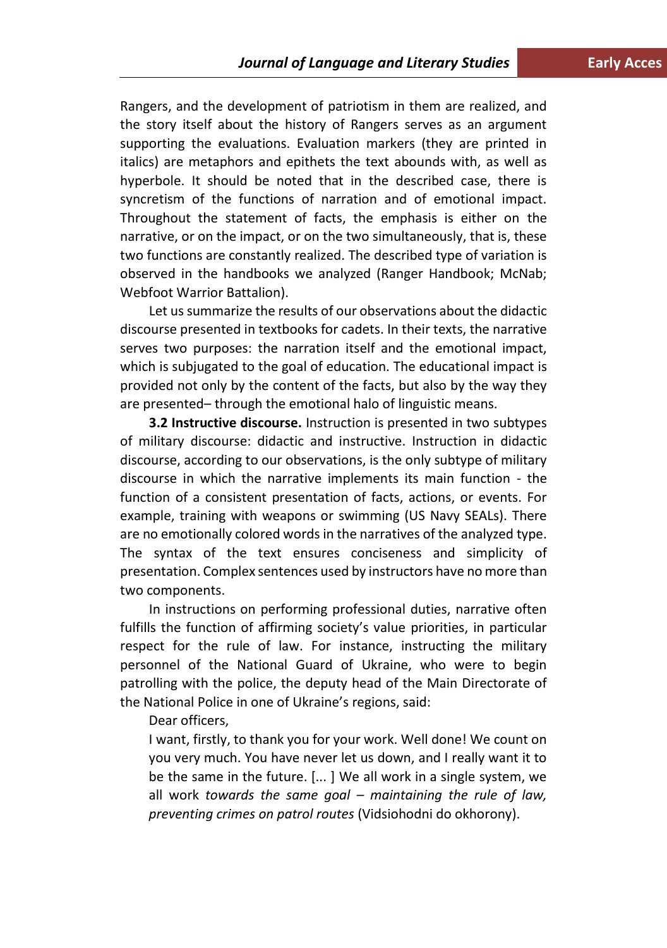Rangers, and the development of patriotism in them are realized, and the story itself about the history of Rangers serves as an argument supporting the evaluations. Evaluation markers (they are printed in italics) are metaphors and epithets the text abounds with, as well as hyperbole. It should be noted that in the described case, there is syncretism of the functions of narration and of emotional impact. Throughout the statement of facts, the emphasis is either on the narrative, or on the impact, or on the two simultaneously, that is, these two functions are constantly realized. The described type of variation is observed in the handbooks we analyzed (Ranger Handbook; McNab; Webfoot Warrior Battalion).

Let us summarize the results of our observations about the didactic discourse presented in textbooks for cadets. In their texts, the narrative serves two purposes: the narration itself and the emotional impact, which is subjugated to the goal of education. The educational impact is provided not only by the content of the facts, but also by the way they are presented– through the emotional halo of linguistic means.

**3.2 Instructive discourse.** Instruction is presented in two subtypes of military discourse: didactic and instructive. Instruction in didactic discourse, according to our observations, is the only subtype of military discourse in which the narrative implements its main function - the function of a consistent presentation of facts, actions, or events. For example, training with weapons or swimming (US Navy SEALs). There are no emotionally colored words in the narratives of the analyzed type. The syntax of the text ensures conciseness and simplicity of presentation. Complex sentences used by instructors have no more than two components.

In instructions on performing professional duties, narrative often fulfills the function of affirming society's value priorities, in particular respect for the rule of law. For instance, instructing the military personnel of the National Guard of Ukraine, who were to begin patrolling with the police, the deputy head of the Main Directorate of the National Police in one of Ukraine's regions, said:

Dear officers,

I want, firstly, to thank you for your work. Well done! We count on you very much. You have never let us down, and I really want it to be the same in the future. [... ] We all work in a single system, we all work *towards the same goal – maintaining the rule of law, preventing crimes on patrol routes* (Vidsiohodni do okhorony).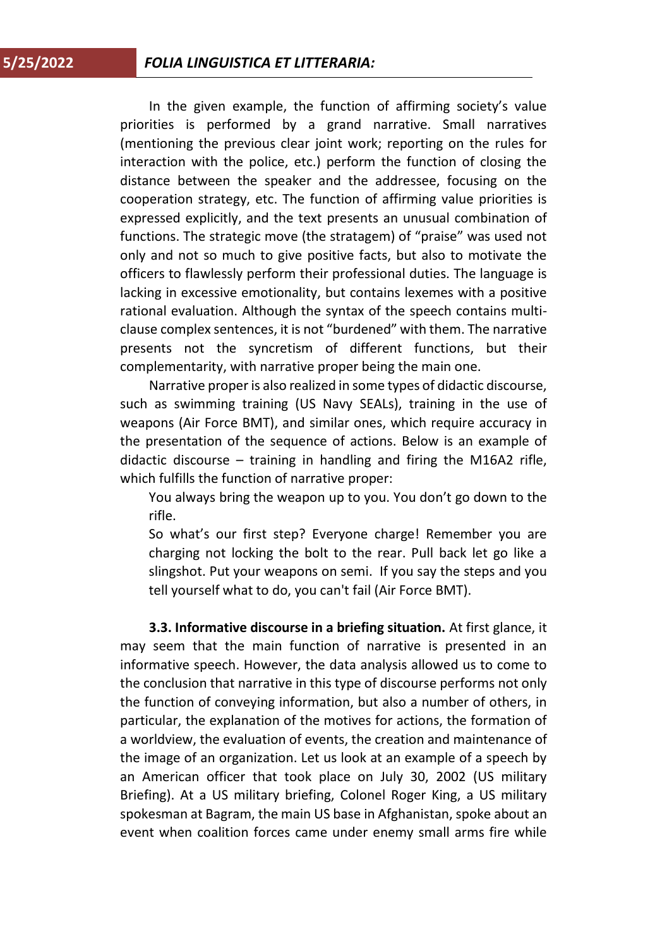In the given example, the function of affirming society's value priorities is performed by a grand narrative. Small narratives (mentioning the previous clear joint work; reporting on the rules for interaction with the police, etc.) perform the function of closing the distance between the speaker and the addressee, focusing on the cooperation strategy, etc. The function of affirming value priorities is expressed explicitly, and the text presents an unusual combination of functions. The strategic move (the stratagem) of "praise" was used not only and not so much to give positive facts, but also to motivate the officers to flawlessly perform their professional duties. The language is lacking in excessive emotionality, but contains lexemes with a positive rational evaluation. Although the syntax of the speech contains multiclause complex sentences, it is not "burdened" with them. The narrative presents not the syncretism of different functions, but their complementarity, with narrative proper being the main one.

Narrative proper is also realized in some types of didactic discourse, such as swimming training (US Navy SEALs), training in the use of weapons (Air Force BMT), and similar ones, which require accuracy in the presentation of the sequence of actions. Below is an example of didactic discourse – training in handling and firing the M16A2 rifle, which fulfills the function of narrative proper:

You always bring the weapon up to you. You don't go down to the rifle.

So what's our first step? Everyone charge! Remember you are charging not locking the bolt to the rear. Pull back let go like a slingshot. Put your weapons on semi. If you say the steps and you tell yourself what to do, you can't fail (Air Force BMT).

**3.3. Informative discourse in a briefing situation.** At first glance, it may seem that the main function of narrative is presented in an informative speech. However, the data analysis allowed us to come to the conclusion that narrative in this type of discourse performs not only the function of conveying information, but also a number of others, in particular, the explanation of the motives for actions, the formation of a worldview, the evaluation of events, the creation and maintenance of the image of an organization. Let us look at an example of a speech by an American officer that took place on July 30, 2002 (US military Briefing). At a US military briefing, Colonel Roger King, a US military spokesman at Bagram, the main US base in Afghanistan, spoke about an event when coalition forces came under enemy small arms fire while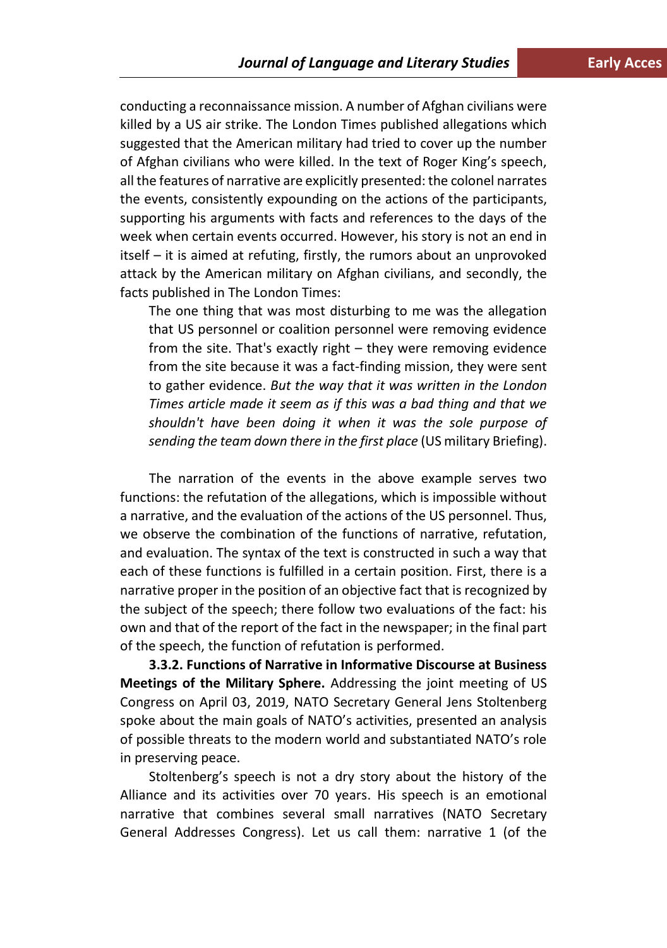conducting a reconnaissance mission. A number of Afghan civilians were killed by a US air strike. The London Times published allegations which suggested that the American military had tried to cover up the number of Afghan civilians who were killed. In the text of Roger King's speech, all the features of narrative are explicitly presented: the colonel narrates the events, consistently expounding on the actions of the participants, supporting his arguments with facts and references to the days of the week when certain events occurred. However, his story is not an end in itself – it is aimed at refuting, firstly, the rumors about an unprovoked attack by the American military on Afghan civilians, and secondly, the facts published in The London Times:

The one thing that was most disturbing to me was the allegation that US personnel or coalition personnel were removing evidence from the site. That's exactly right – they were removing evidence from the site because it was a fact-finding mission, they were sent to gather evidence. *But the way that it was written in the London Times article made it seem as if this was a bad thing and that we shouldn't have been doing it when it was the sole purpose of sending the team down there in the first place* (US military Briefing).

The narration of the events in the above example serves two functions: the refutation of the allegations, which is impossible without a narrative, and the evaluation of the actions of the US personnel. Thus, we observe the combination of the functions of narrative, refutation, and evaluation. The syntax of the text is constructed in such a way that each of these functions is fulfilled in a certain position. First, there is a narrative proper in the position of an objective fact that is recognized by the subject of the speech; there follow two evaluations of the fact: his own and that of the report of the fact in the newspaper; in the final part of the speech, the function of refutation is performed.

**3.3.2. Functions of Narrative in Informative Discourse at Business Meetings of the Military Sphere.** Addressing the joint meeting of US Congress on April 03, 2019, NATO Secretary General Jens Stoltenberg spoke about the main goals of NATO's activities, presented an analysis of possible threats to the modern world and substantiated NATO's role in preserving peace.

Stoltenberg's speech is not a dry story about the history of the Alliance and its activities over 70 years. His speech is an emotional narrative that combines several small narratives (NATO Secretary General Addresses Congress). Let us call them: narrative 1 (of the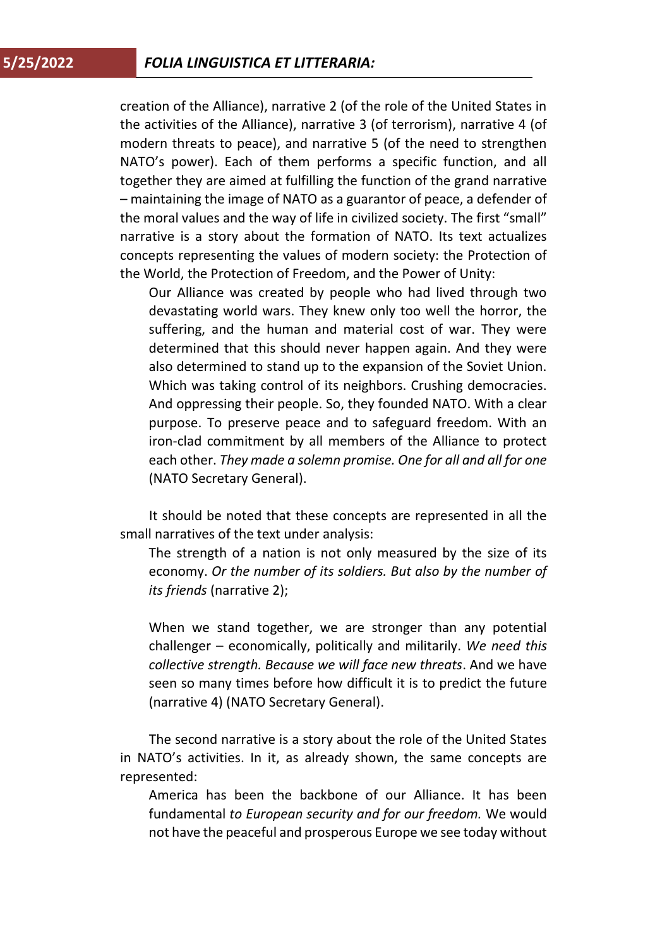creation of the Alliance), narrative 2 (of the role of the United States in the activities of the Alliance), narrative 3 (of terrorism), narrative 4 (of modern threats to peace), and narrative 5 (of the need to strengthen NATO's power). Each of them performs a specific function, and all together they are aimed at fulfilling the function of the grand narrative – maintaining the image of NATO as a guarantor of peace, a defender of the moral values and the way of life in civilized society. The first "small" narrative is a story about the formation of NATO. Its text actualizes concepts representing the values of modern society: the Protection of the World, the Protection of Freedom, and the Power of Unity:

Our Alliance was created by people who had lived through two devastating world wars. They knew only too well the horror, the suffering, and the human and material cost of war. They were determined that this should never happen again. And they were also determined to stand up to the expansion of the Soviet Union. Which was taking control of its neighbors. Crushing democracies. And oppressing their people. So, they founded NATO. With a clear purpose. To preserve peace and to safeguard freedom. With an iron-clad commitment by all members of the Alliance to protect each other. *They made a solemn promise. One for all and all for one* (NATO Secretary General).

It should be noted that these concepts are represented in all the small narratives of the text under analysis:

The strength of a nation is not only measured by the size of its economy. *Or the number of its soldiers. But also by the number of its friends* (narrative 2);

When we stand together, we are stronger than any potential challenger – economically, politically and militarily. *We need this collective strength. Because we will face new threats*. And we have seen so many times before how difficult it is to predict the future (narrative 4) (NATO Secretary General).

The second narrative is a story about the role of the United States in NATO's activities. In it, as already shown, the same concepts are represented:

America has been the backbone of our Alliance. It has been fundamental *to European security and for our freedom.* We would not have the peaceful and prosperous Europe we see today without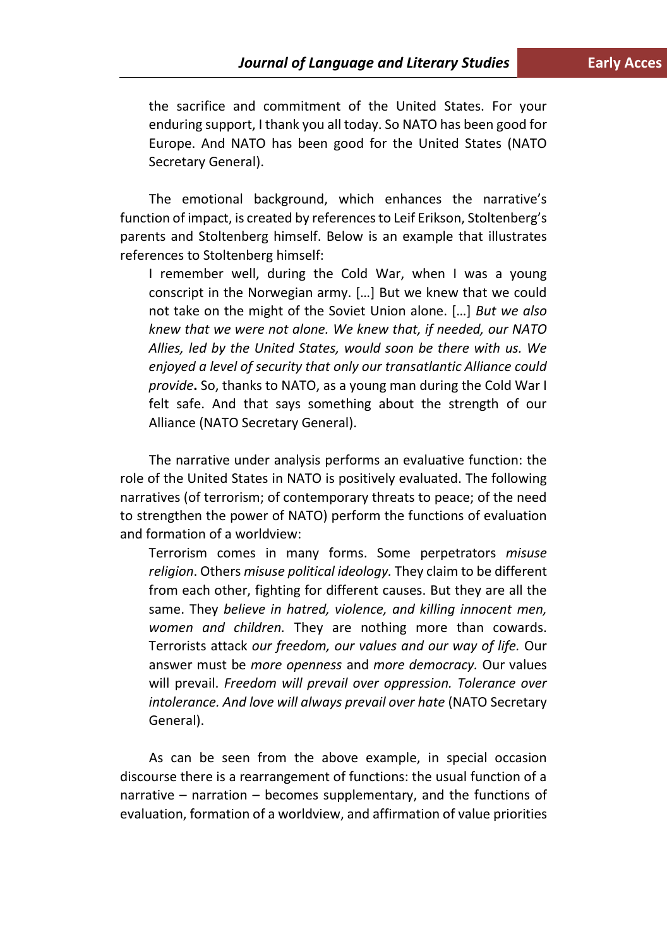the sacrifice and commitment of the United States. For your enduring support, I thank you all today. So NATO has been good for Europe. And NATO has been good for the United States (NATO Secretary General).

The emotional background, which enhances the narrative's function of impact, is created by references to Leif Erikson, Stoltenberg's parents and Stoltenberg himself. Below is an example that illustrates references to Stoltenberg himself:

I remember well, during the Cold War, when I was a young conscript in the Norwegian army. […] But we knew that we could not take on the might of the Soviet Union alone. […] *But we also knew that we were not alone. We knew that, if needed, our NATO Allies, led by the United States, would soon be there with us. We enjoyed a level of security that only our transatlantic Alliance could provide***.** So, thanks to NATO, as a young man during the Cold War I felt safe. And that says something about the strength of our Alliance (NATO Secretary General).

The narrative under analysis performs an evaluative function: the role of the United States in NATO is positively evaluated. The following narratives (of terrorism; of contemporary threats to peace; of the need to strengthen the power of NATO) perform the functions of evaluation and formation of a worldview:

Terrorism comes in many forms. Some perpetrators *misuse religion*. Others *misuse political ideology.* They claim to be different from each other, fighting for different causes. But they are all the same. They *believe in hatred, violence, and killing innocent men, women and children.* They are nothing more than cowards. Terrorists attack *our freedom, our values and our way of life.* Our answer must be *more openness* and *more democracy.* Our values will prevail. *Freedom will prevail over oppression. Tolerance over intolerance. And love will always prevail over hate* (NATO Secretary General).

As can be seen from the above example, in special occasion discourse there is a rearrangement of functions: the usual function of a narrative – narration – becomes supplementary, and the functions of evaluation, formation of a worldview, and affirmation of value priorities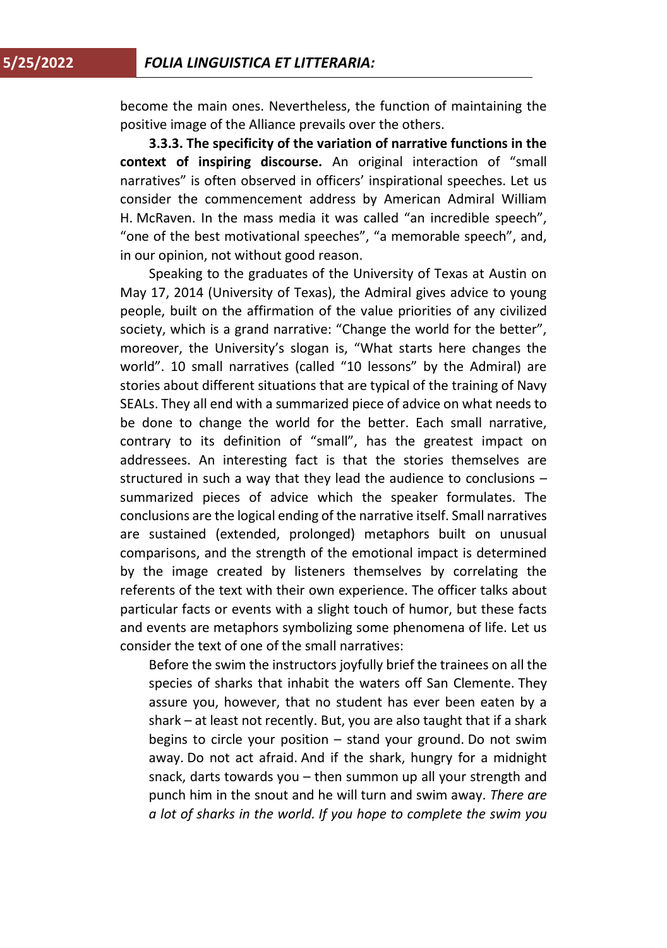become the main ones. Nevertheless, the function of maintaining the positive image of the Alliance prevails over the others.

**3.3.3. The specificity of the variation of narrative functions in the context of inspiring discourse.** An original interaction of "small narratives" is often observed in officers' inspirational speeches. Let us consider the commencement address by American Admiral William H. McRaven. In the mass media it was called "an incredible speech", "one of the best motivational speeches", "a memorable speech", and, in our opinion, not without good reason.

Speaking to the graduates of the University of Texas at Austin on May 17, 2014 (University of Texas), the Admiral gives advice to young people, built on the affirmation of the value priorities of any civilized society, which is a grand narrative: "Change the world for the better", moreover, the University's slogan is, "What starts here changes the world". 10 small narratives (called "10 lessons" by the Admiral) are stories about different situations that are typical of the training of Navy SEALs. They all end with a summarized piece of advice on what needs to be done to change the world for the better. Each small narrative, contrary to its definition of "small", has the greatest impact on addressees. An interesting fact is that the stories themselves are structured in such a way that they lead the audience to conclusions – summarized pieces of advice which the speaker formulates. The conclusions are the logical ending of the narrative itself. Small narratives are sustained (extended, prolonged) metaphors built on unusual comparisons, and the strength of the emotional impact is determined by the image created by listeners themselves by correlating the referents of the text with their own experience. The officer talks about particular facts or events with a slight touch of humor, but these facts and events are metaphors symbolizing some phenomena of life. Let us consider the text of one of the small narratives:

Before the swim the instructors joyfully brief the trainees on all the species of sharks that inhabit the waters off San Clemente. They assure you, however, that no student has ever been eaten by a shark – at least not recently. But, you are also taught that if a shark begins to circle your position – stand your ground. Do not swim away. Do not act afraid. And if the shark, hungry for a midnight snack, darts towards you – then summon up all your strength and punch him in the snout and he will turn and swim away. *There are a lot of sharks in the world. If you hope to complete the swim you*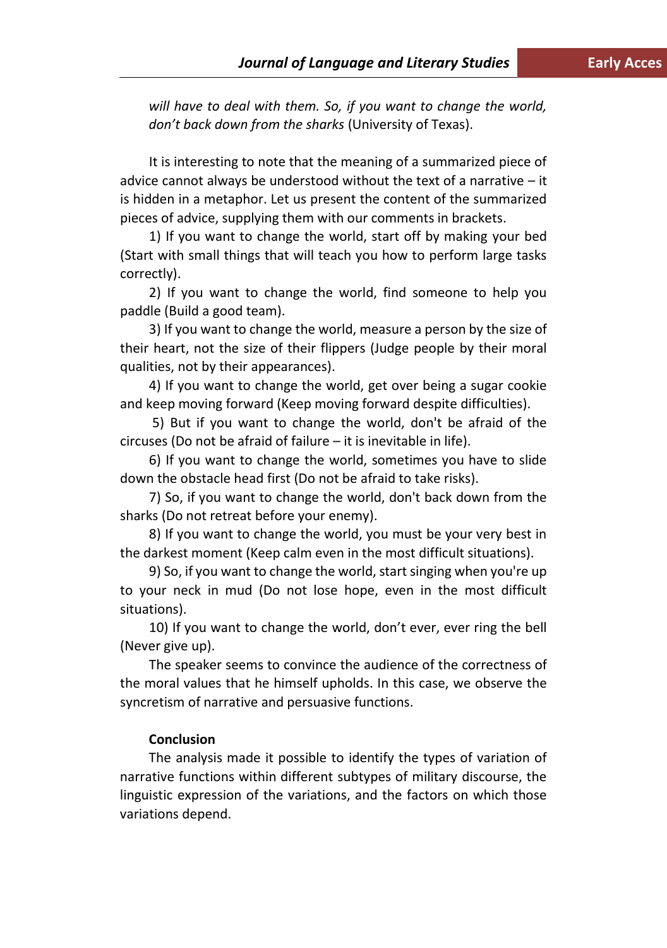*will have to deal with them. So, if you want to change the world, don't back down from the sharks* (University of Texas).

It is interesting to note that the meaning of a summarized piece of advice cannot always be understood without the text of a narrative – it is hidden in a metaphor. Let us present the content of the summarized pieces of advice, supplying them with our comments in brackets.

1) If you want to change the world, start off by making your bed (Start with small things that will teach you how to perform large tasks correctly).

2) If you want to change the world, find someone to help you paddle (Build a good team).

3) If you want to change the world, measure a person by the size of their heart, not the size of their flippers (Judge people by their moral qualities, not by their appearances).

4) If you want to change the world, get over being a sugar cookie and keep moving forward (Keep moving forward despite difficulties).

5) But if you want to change the world, don't be afraid of the circuses (Do not be afraid of failure – it is inevitable in life).

6) If you want to change the world, sometimes you have to slide down the obstacle head first (Do not be afraid to take risks).

7) So, if you want to change the world, don't back down from the sharks (Do not retreat before your enemy).

8) If you want to change the world, you must be your very best in the darkest moment (Keep calm even in the most difficult situations).

9) So, if you want to change the world, start singing when you're up to your neck in mud (Do not lose hope, even in the most difficult situations).

10) If you want to change the world, don't ever, ever ring the bell (Never give up).

The speaker seems to convince the audience of the correctness of the moral values that he himself upholds. In this case, we observe the syncretism of narrative and persuasive functions.

### **Conclusion**

The analysis made it possible to identify the types of variation of narrative functions within different subtypes of military discourse, the linguistic expression of the variations, and the factors on which those variations depend.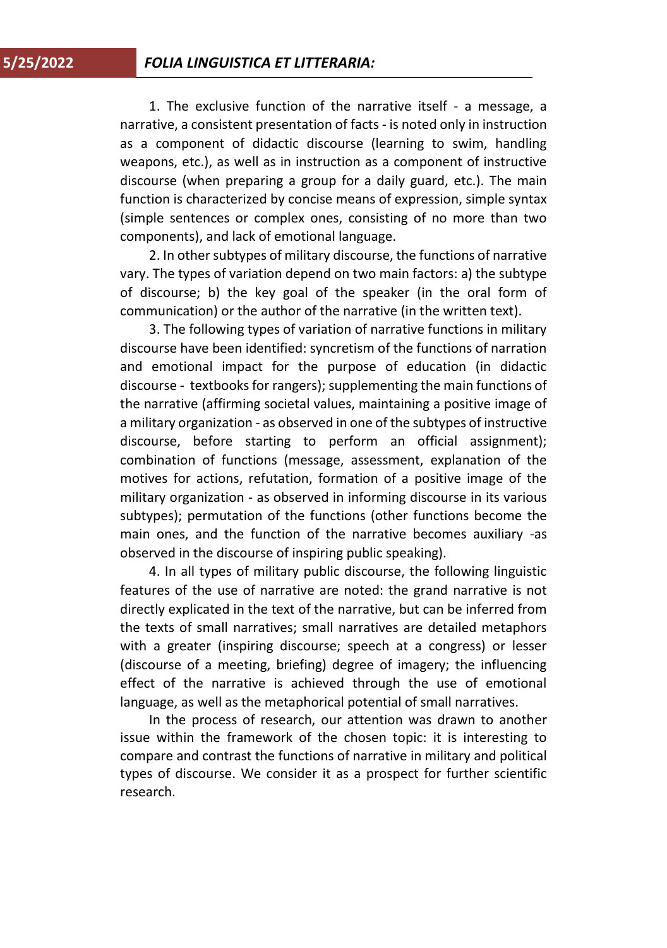1. The exclusive function of the narrative itself - a message, a narrative, a consistent presentation of facts - is noted only in instruction as a component of didactic discourse (learning to swim, handling weapons, etc.), as well as in instruction as a component of instructive discourse (when preparing a group for a daily guard, etc.). The main function is characterized by concise means of expression, simple syntax (simple sentences or complex ones, consisting of no more than two components), and lack of emotional language.

2. In other subtypes of military discourse, the functions of narrative vary. The types of variation depend on two main factors: a) the subtype of discourse; b) the key goal of the speaker (in the oral form of communication) or the author of the narrative (in the written text).

3. The following types of variation of narrative functions in military discourse have been identified: syncretism of the functions of narration and emotional impact for the purpose of education (in didactic discourse - textbooks for rangers); supplementing the main functions of the narrative (affirming societal values, maintaining a positive image of a military organization - as observed in one of the subtypes of instructive discourse, before starting to perform an official assignment); combination of functions (message, assessment, explanation of the motives for actions, refutation, formation of a positive image of the military organization - as observed in informing discourse in its various subtypes); permutation of the functions (other functions become the main ones, and the function of the narrative becomes auxiliary -as observed in the discourse of inspiring public speaking).

4. In all types of military public discourse, the following linguistic features of the use of narrative are noted: the grand narrative is not directly explicated in the text of the narrative, but can be inferred from the texts of small narratives; small narratives are detailed metaphors with a greater (inspiring discourse; speech at a congress) or lesser (discourse of a meeting, briefing) degree of imagery; the influencing effect of the narrative is achieved through the use of emotional language, as well as the metaphorical potential of small narratives.

In the process of research, our attention was drawn to another issue within the framework of the chosen topic: it is interesting to compare and contrast the functions of narrative in military and political types of discourse. We consider it as a prospect for further scientific research.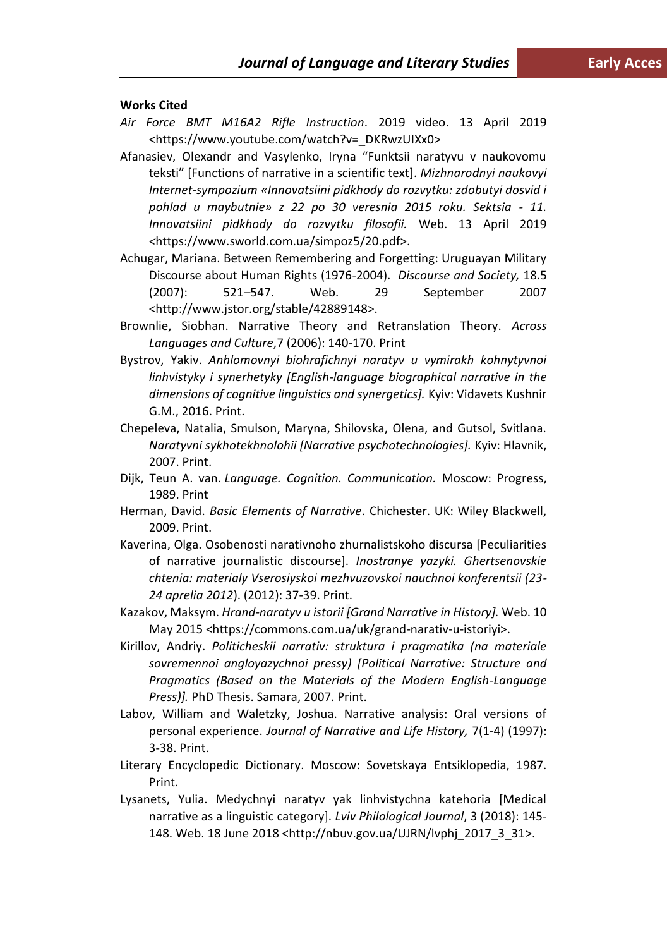#### **Works Cited**

- *Air Force BMT M16A2 Rifle Instruction*. 2019 video. 13 April 2019 <https://www.youtube.com/watch?v=\_DKRwzUIXx0>
- Afanasiev, Olexandr and Vasylenko, Iryna "Funktsii naratyvu v naukovomu teksti" [Functions of narrative in a scientific text]. *Mizhnarodnyi naukovyi Internet-sympozium «Innovatsiini pidkhody do rozvytku: zdobutyi dosvid i pohlad u maybutnie» z 22 po 30 veresnia 2015 roku. Sektsia - 11. Innovatsiini pidkhody do rozvytku filosofii.* Web. 13 April 2019 *<*https://www.sworld.com.ua/simpoz5/20.pdf>.
- Achugar, Mariana. Between Remembering and Forgetting: Uruguayan Military Discourse about Human Rights (1976-2004). *Discourse and Society,* 18.5 (2007): 521–547. Web. 29 September 2007 <http://www.jstor.org/stable/42889148>.
- Brownlie, Siobhan. Narrative Theory and Retranslation Theory. *Across Languages and Culture*,7 (2006): 140-170. Print
- Bystrov, Yakiv. *Anhlomovnyi biohrafichnyi naratyv u vymirakh kohnytyvnoi linhvistyky i synerhetyky [English-language biographical narrative in the dimensions of cognitive linguistics and synergetics].* Kyiv: Vidavets Kushnir G.M., 2016. Print.
- Chepeleva, Natalia, Smulson, Maryna, Shilovska, Olena, and Gutsol, Svitlana. *Naratyvni sykhotekhnolohii [Narrative psychotechnologies].* Kyiv: Hlavnik, 2007. Print.
- Dijk, Teun A. van. *Language. Cognition. Communication.* Moscow: Progress, 1989. Print
- Herman, David. *Basic Elements of Narrative*. Chichester. UK: Wiley Blackwell, 2009. Print.
- Kaverina, Оlga. Osobenosti narativnoho zhurnalistskoho discursa [Peculiarities of narrative journalistic discourse]. *Inostranye yazyki. Ghertsenovskie chtenia: materialy Vserosiyskoi mezhvuzovskoi nauchnoi konferentsii (23- 24 aprelia 2012*). (2012): 37-39. Print.
- Kazakov, Maksym. *Hrand-naratyv u istorii [Grand Narrative in History].* Web. 10 May 2015 <https://commons.com.ua/uk/grand-narativ-u-istoriyi>.
- Kirillov, Andriy. *Politicheskii narrativ: struktura i pragmatika (na materiale sovremennoi angloyazychnoi pressy) [Political Narrative: Structure and Pragmatics (Based on the Materials of the Modern English-Language Press)].* PhD Thesis. Samara, 2007. Print.
- Labov, William and Waletzky, Joshua. Narrative analysis: Oral versions of personal experience. *Journal of Narrative and Life History,* 7(1-4) (1997): 3-38. Print.
- Literary Encyclopedic Dictionary. Moscow: Sovetskaya Entsiklopedia, 1987. Print.
- Lysanets, Yulia. Medychnyi naratyv yak linhvistychna katehoria [Medical narrative as a linguistic category]. *Lviv Philological Journal*, 3 (2018): 145- 148. Web. 18 June 2018 [<http://nbuv.gov.ua/UJRN/lvphj\\_2017\\_3\\_31>](http://nbuv.gov.ua/UJRN/lvphj_2017_3_31).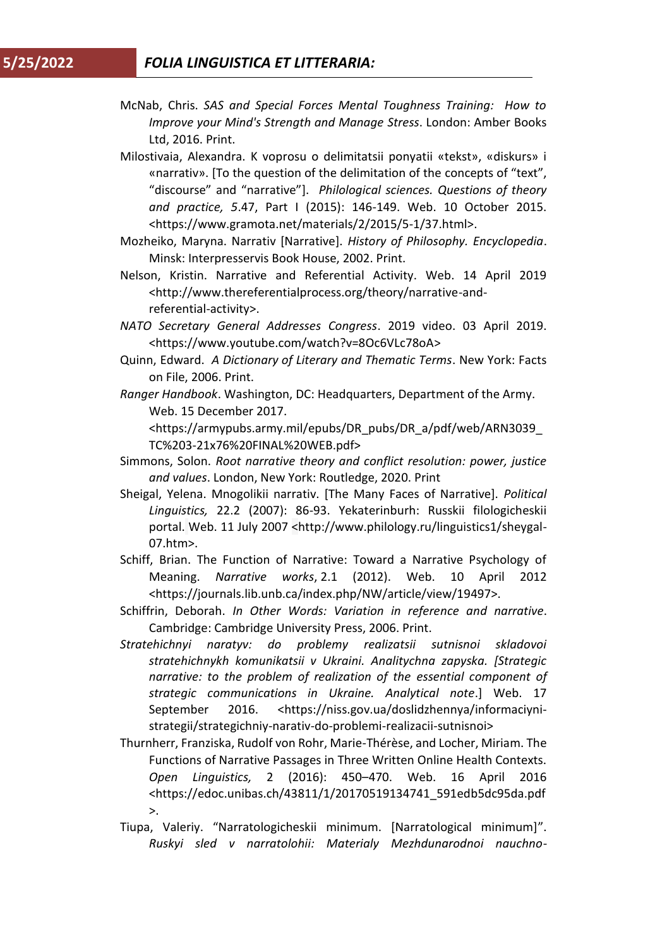- McNab, Chris. *SAS and Special Forces Mental Toughness Training: How to Improve your Mind's Strength and Manage Stress*. London[: Amber Books](https://www.bookdepository.com/publishers/Amber-Books-Ltd)  [Ltd,](https://www.bookdepository.com/publishers/Amber-Books-Ltd) 2016. Print.
- Milostivaia, Alexandra. K voprosu o delimitatsii ponyatii «tekst», «diskurs» i «narrativ». [To the question of the delimitation of the concepts of "text", "discourse" and "narrative"]. *Philological sciences. Questions of theory and practice, 5*.47, Part I (2015): 146-149. Web. 10 October 2015. [<https://www.gramota.net/materials/2/2015/5-1/37.html>](https://www.gramota.net/materials/2/2015/5-1/37.html).
- Mozheiko, Maryna. Narrativ [Narrative]. *History of Philosophy. Encyclopedia*. Minsk: Interpresservis Book House, 2002. Print.
- [Nelson,](http://www.thereferentialprocess.org/people/kristin-nelson-ph-d) Kristin. Narrative and Referential Activity. Web. 14 April 2019 [<http://www.thereferentialprocess.org/theory/narrative-and](http://www.thereferentialprocess.org/theory/narrative-and-referential-activity)[referential-activity>](http://www.thereferentialprocess.org/theory/narrative-and-referential-activity).
- *NATO Secretary General Addresses Congress*. 2019 video. 03 April 2019. [<https://www.youtube.com/watch?v=8Oc6VLc78oA>](https://www.youtube.com/watch?v=8Oc6VLc78oA)
- Quinn, Edward. *A Dictionary of Literary and Thematic Terms*. New York: Facts on File, 2006. Print.
- *Ranger Handbook*. Washington, DC: Headquarters, Department of the Army. Web. 15 December 2017.

<https://armypubs.army.mil/epubs/DR\_pubs/DR\_a/pdf/web/ARN3039\_ TC%203-21x76%20FINAL%20WEB.pdf>

- Simmons, Solon. *Root narrative theory and conflict resolution: power, justice and values*. London, New York: Routledge, 2020. Print
- Sheigal, Yelena. Mnogolikii narrativ. [The Many Faces of Narrative]. *Political Linguistics,* 22.2 (2007): 86-93. Yekaterinburh: Russkii filologicheskii portal. Web. 11 July 2007 [<http://www.philology.ru/linguistics1/sheygal-](http://www.philology.ru/linguistics1/sheygal-07.htm)[07.htm>](http://www.philology.ru/linguistics1/sheygal-07.htm).
- Schiff, Brian. The Function of Narrative: Toward a Narrative Psychology of Meaning. *Narrative works*, 2.1 (2012). Web. 10 April 2012 <https://journals.lib.unb.ca/index.php/NW/article/view/19497>.
- Schiffrin, Deborah. *In Other Words: Variation in reference and narrative*. Cambridge: Cambridge University Press, 2006. Print.
- *Stratehichnyi naratyv: do problemy realizatsii sutnisnoi skladovoi stratehichnykh komunikatsii v Ukraini. Analitychna zapyska. [Strategic narrative: to the problem of realization of the essential component of strategic communications in Ukraine. Analytical note*.] Web. 17 September 2016. [<https://niss.gov.ua/doslidzhennya/informaciyni](https://niss.gov.ua/doslidzhennya/informaciyni-strategii/strategichniy-narativ-do-problemi-realizacii-sutnisnoi)[strategii/strategichniy-narativ-do-problemi-realizacii-sutnisnoi>](https://niss.gov.ua/doslidzhennya/informaciyni-strategii/strategichniy-narativ-do-problemi-realizacii-sutnisnoi)
- Thurnherr, Franziska, Rudolf von Rohr, Marie-Thérèse, and Locher, Miriam. The Functions of Narrative Passages in Three Written Online Health Contexts. *Open Linguistics,* 2 (2016): 450–470. Web. 16 April 2016 [<https://edoc.unibas.ch/43811/1/20170519134741\\_591edb5dc95da.pdf](https://edoc.unibas.ch/43811/1/20170519134741_591edb5dc95da.pdf) >.
- Tiupa, Valeriy. "Narratologicheskii minimum. [Narratological minimum]". *Ruskyi sled v narratolohii: Materialy Mezhdunarodnoi nauchno-*